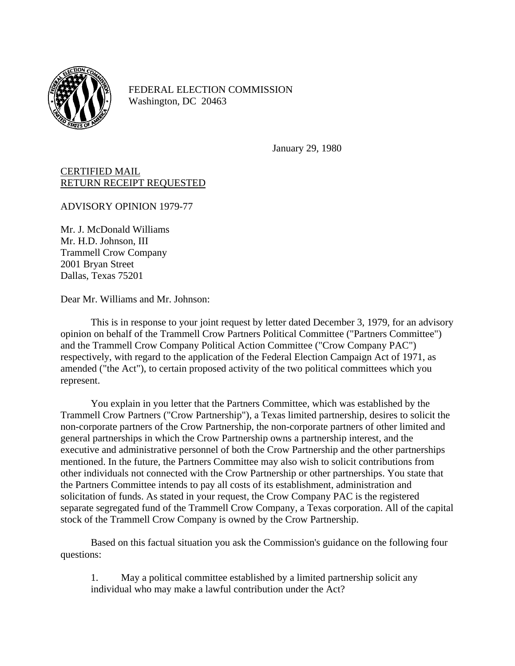

FEDERAL ELECTION COMMISSION Washington, DC 20463

January 29, 1980

## CERTIFIED MAIL RETURN RECEIPT REQUESTED

ADVISORY OPINION 1979-77

Mr. J. McDonald Williams Mr. H.D. Johnson, III Trammell Crow Company 2001 Bryan Street Dallas, Texas 75201

Dear Mr. Williams and Mr. Johnson:

This is in response to your joint request by letter dated December 3, 1979, for an advisory opinion on behalf of the Trammell Crow Partners Political Committee ("Partners Committee") and the Trammell Crow Company Political Action Committee ("Crow Company PAC") respectively, with regard to the application of the Federal Election Campaign Act of 1971, as amended ("the Act"), to certain proposed activity of the two political committees which you represent.

You explain in you letter that the Partners Committee, which was established by the Trammell Crow Partners ("Crow Partnership"), a Texas limited partnership, desires to solicit the non-corporate partners of the Crow Partnership, the non-corporate partners of other limited and general partnerships in which the Crow Partnership owns a partnership interest, and the executive and administrative personnel of both the Crow Partnership and the other partnerships mentioned. In the future, the Partners Committee may also wish to solicit contributions from other individuals not connected with the Crow Partnership or other partnerships. You state that the Partners Committee intends to pay all costs of its establishment, administration and solicitation of funds. As stated in your request, the Crow Company PAC is the registered separate segregated fund of the Trammell Crow Company, a Texas corporation. All of the capital stock of the Trammell Crow Company is owned by the Crow Partnership.

Based on this factual situation you ask the Commission's guidance on the following four questions:

1. May a political committee established by a limited partnership solicit any individual who may make a lawful contribution under the Act?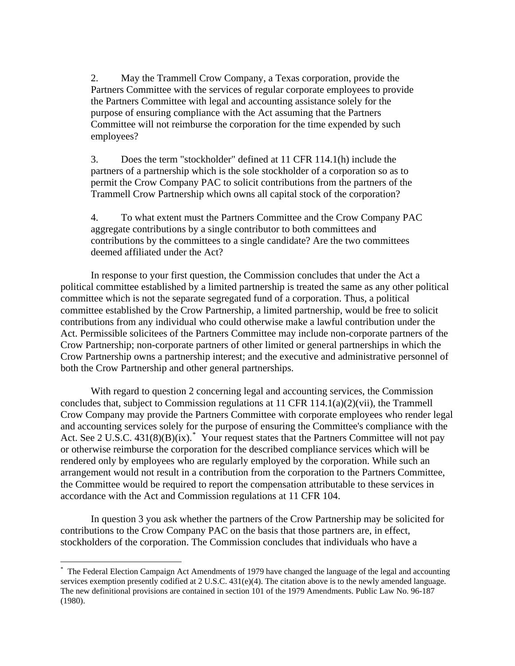2. May the Trammell Crow Company, a Texas corporation, provide the Partners Committee with the services of regular corporate employees to provide the Partners Committee with legal and accounting assistance solely for the purpose of ensuring compliance with the Act assuming that the Partners Committee will not reimburse the corporation for the time expended by such employees?

3. Does the term "stockholder" defined at 11 CFR 114.1(h) include the partners of a partnership which is the sole stockholder of a corporation so as to permit the Crow Company PAC to solicit contributions from the partners of the Trammell Crow Partnership which owns all capital stock of the corporation?

4. To what extent must the Partners Committee and the Crow Company PAC aggregate contributions by a single contributor to both committees and contributions by the committees to a single candidate? Are the two committees deemed affiliated under the Act?

In response to your first question, the Commission concludes that under the Act a political committee established by a limited partnership is treated the same as any other political committee which is not the separate segregated fund of a corporation. Thus, a political committee established by the Crow Partnership, a limited partnership, would be free to solicit contributions from any individual who could otherwise make a lawful contribution under the Act. Permissible solicitees of the Partners Committee may include non-corporate partners of the Crow Partnership; non-corporate partners of other limited or general partnerships in which the Crow Partnership owns a partnership interest; and the executive and administrative personnel of both the Crow Partnership and other general partnerships.

With regard to question 2 concerning legal and accounting services, the Commission concludes that, subject to Commission regulations at 11 CFR 114.1(a)(2)(vii), the Trammell Crow Company may provide the Partners Committee with corporate employees who render legal and accounting services solely for the purpose of ensuring the Committee's compliance with the Act. See 2 U.S.C. 431(8)(B)(ix). Your request states that the Partners Committee will not pay or otherwise reimburse the corporation for the described compliance services which will be rendered only by employees who are regularly employed by the corporation. While such an arrangement would not result in a contribution from the corporation to the Partners Committee, the Committee would be required to report the compensation attributable to these services in accordance with the Act and Commission regulations at 11 CFR 104.

In question 3 you ask whether the partners of the Crow Partnership may be solicited for contributions to the Crow Company PAC on the basis that those partners are, in effect, stockholders of the corporation. The Commission concludes that individuals who have a

<u>.</u>

<span id="page-1-0"></span><sup>\*</sup> The Federal Election Campaign Act Amendments of 1979 have changed the language of the legal and accounting services exemption presently codified at  $2 \text{ U.S.C. } 431(e)(4)$ . The citation above is to the newly amended language. The new definitional provisions are contained in section 101 of the 1979 Amendments. Public Law No. 96-187 (1980).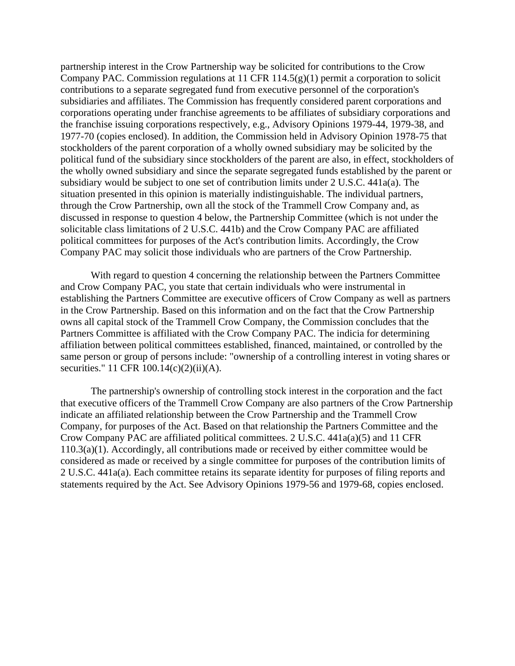partnership interest in the Crow Partnership way be solicited for contributions to the Crow Company PAC. Commission regulations at 11 CFR 114.5(g)(1) permit a corporation to solicit contributions to a separate segregated fund from executive personnel of the corporation's subsidiaries and affiliates. The Commission has frequently considered parent corporations and corporations operating under franchise agreements to be affiliates of subsidiary corporations and the franchise issuing corporations respectively, e.g., Advisory Opinions 1979-44, 1979-38, and 1977-70 (copies enclosed). In addition, the Commission held in Advisory Opinion 1978-75 that stockholders of the parent corporation of a wholly owned subsidiary may be solicited by the political fund of the subsidiary since stockholders of the parent are also, in effect, stockholders of the wholly owned subsidiary and since the separate segregated funds established by the parent or subsidiary would be subject to one set of contribution limits under 2 U.S.C. 441a(a). The situation presented in this opinion is materially indistinguishable. The individual partners, through the Crow Partnership, own all the stock of the Trammell Crow Company and, as discussed in response to question 4 below, the Partnership Committee (which is not under the solicitable class limitations of 2 U.S.C. 441b) and the Crow Company PAC are affiliated political committees for purposes of the Act's contribution limits. Accordingly, the Crow Company PAC may solicit those individuals who are partners of the Crow Partnership.

With regard to question 4 concerning the relationship between the Partners Committee and Crow Company PAC, you state that certain individuals who were instrumental in establishing the Partners Committee are executive officers of Crow Company as well as partners in the Crow Partnership. Based on this information and on the fact that the Crow Partnership owns all capital stock of the Trammell Crow Company, the Commission concludes that the Partners Committee is affiliated with the Crow Company PAC. The indicia for determining affiliation between political committees established, financed, maintained, or controlled by the same person or group of persons include: "ownership of a controlling interest in voting shares or securities." 11 CFR 100.14(c)(2)(ii)(A).

The partnership's ownership of controlling stock interest in the corporation and the fact that executive officers of the Trammell Crow Company are also partners of the Crow Partnership indicate an affiliated relationship between the Crow Partnership and the Trammell Crow Company, for purposes of the Act. Based on that relationship the Partners Committee and the Crow Company PAC are affiliated political committees. 2 U.S.C. 441a(a)(5) and 11 CFR 110.3(a)(1). Accordingly, all contributions made or received by either committee would be considered as made or received by a single committee for purposes of the contribution limits of 2 U.S.C. 441a(a). Each committee retains its separate identity for purposes of filing reports and statements required by the Act. See Advisory Opinions 1979-56 and 1979-68, copies enclosed.